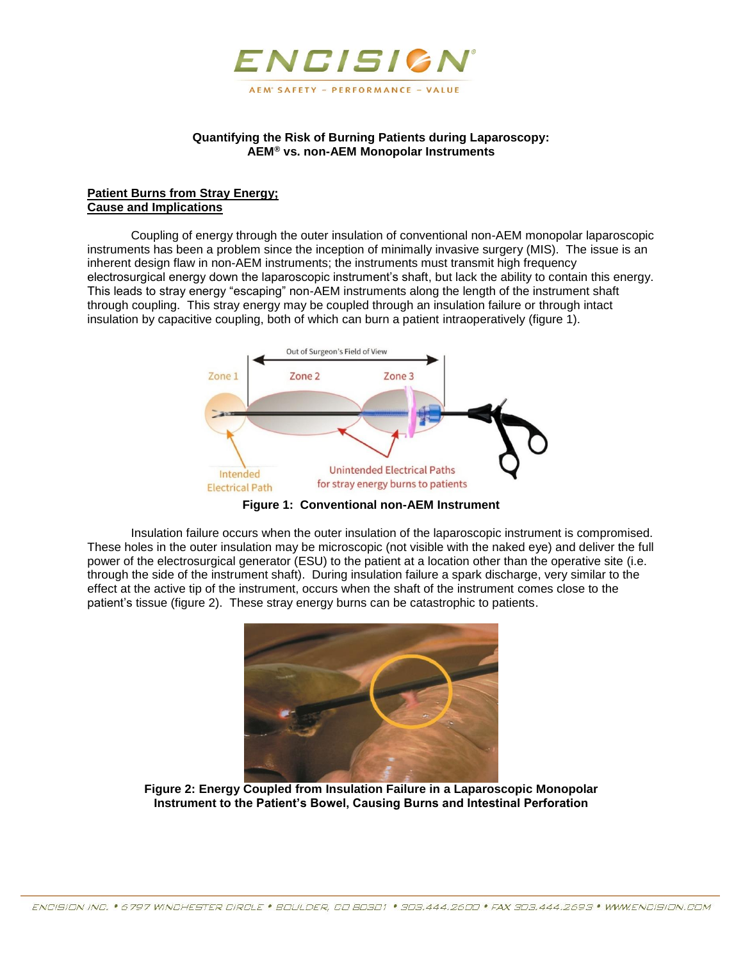

## **Quantifying the Risk of Burning Patients during Laparoscopy: AEM® vs. non-AEM Monopolar Instruments**

## **Patient Burns from Stray Energy; Cause and Implications**

Coupling of energy through the outer insulation of conventional non-AEM monopolar laparoscopic instruments has been a problem since the inception of minimally invasive surgery (MIS). The issue is an inherent design flaw in non-AEM instruments; the instruments must transmit high frequency electrosurgical energy down the laparoscopic instrument's shaft, but lack the ability to contain this energy. This leads to stray energy "escaping" non-AEM instruments along the length of the instrument shaft through coupling. This stray energy may be coupled through an insulation failure or through intact insulation by capacitive coupling, both of which can burn a patient intraoperatively (figure 1).



**Figure 1: Conventional non-AEM Instrument**

Insulation failure occurs when the outer insulation of the laparoscopic instrument is compromised. These holes in the outer insulation may be microscopic (not visible with the naked eye) and deliver the full power of the electrosurgical generator (ESU) to the patient at a location other than the operative site (i.e. through the side of the instrument shaft). During insulation failure a spark discharge, very similar to the effect at the active tip of the instrument, occurs when the shaft of the instrument comes close to the patient's tissue (figure 2). These stray energy burns can be catastrophic to patients.



**Figure 2: Energy Coupled from Insulation Failure in a Laparoscopic Monopolar Instrument to the Patient's Bowel, Causing Burns and Intestinal Perforation**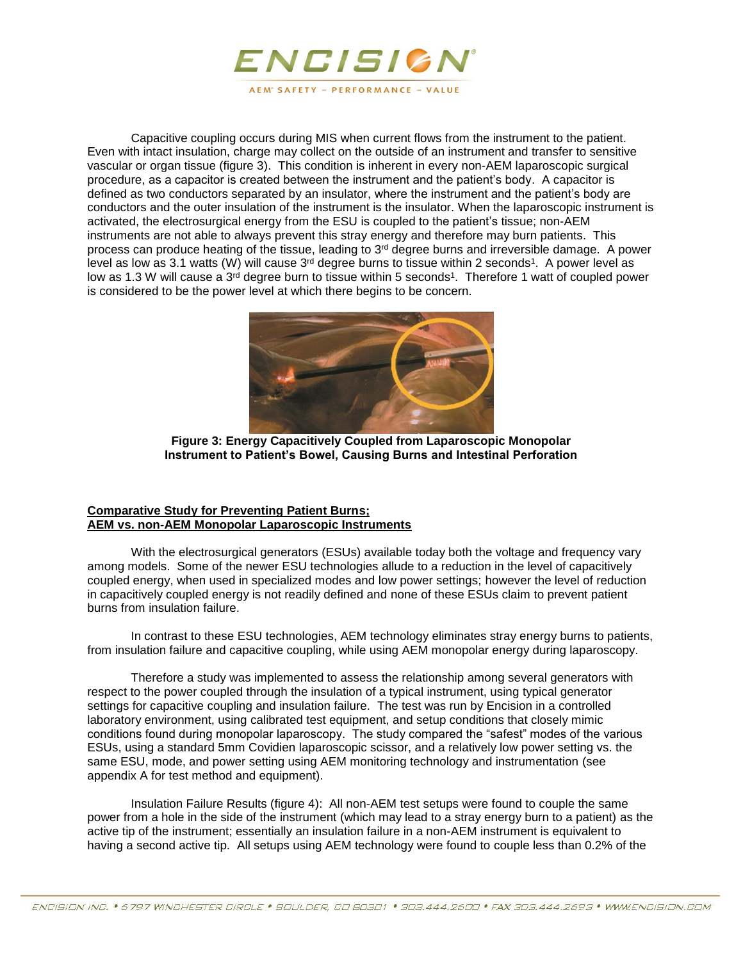

Capacitive coupling occurs during MIS when current flows from the instrument to the patient. Even with intact insulation, charge may collect on the outside of an instrument and transfer to sensitive vascular or organ tissue (figure 3). This condition is inherent in every non-AEM laparoscopic surgical procedure, as a capacitor is created between the instrument and the patient's body. A capacitor is defined as two conductors separated by an insulator, where the instrument and the patient's body are conductors and the outer insulation of the instrument is the insulator. When the laparoscopic instrument is activated, the electrosurgical energy from the ESU is coupled to the patient's tissue; non-AEM instruments are not able to always prevent this stray energy and therefore may burn patients. This process can produce heating of the tissue, leading to  $3<sup>rd</sup>$  degree burns and irreversible damage. A power level as low as 3.1 watts (W) will cause 3<sup>rd</sup> degree burns to tissue within 2 seconds<sup>1</sup>. A power level as low as 1.3 W will cause a 3<sup>rd</sup> degree burn to tissue within 5 seconds<sup>1</sup>. Therefore 1 watt of coupled power is considered to be the power level at which there begins to be concern.



**Figure 3: Energy Capacitively Coupled from Laparoscopic Monopolar Instrument to Patient's Bowel, Causing Burns and Intestinal Perforation** 

## **Comparative Study for Preventing Patient Burns; AEM vs. non-AEM Monopolar Laparoscopic Instruments**

With the electrosurgical generators (ESUs) available today both the voltage and frequency vary among models. Some of the newer ESU technologies allude to a reduction in the level of capacitively coupled energy, when used in specialized modes and low power settings; however the level of reduction in capacitively coupled energy is not readily defined and none of these ESUs claim to prevent patient burns from insulation failure.

In contrast to these ESU technologies, AEM technology eliminates stray energy burns to patients, from insulation failure and capacitive coupling, while using AEM monopolar energy during laparoscopy.

Therefore a study was implemented to assess the relationship among several generators with respect to the power coupled through the insulation of a typical instrument, using typical generator settings for capacitive coupling and insulation failure. The test was run by Encision in a controlled laboratory environment, using calibrated test equipment, and setup conditions that closely mimic conditions found during monopolar laparoscopy. The study compared the "safest" modes of the various ESUs, using a standard 5mm Covidien laparoscopic scissor, and a relatively low power setting vs. the same ESU, mode, and power setting using AEM monitoring technology and instrumentation (see appendix A for test method and equipment).

Insulation Failure Results (figure 4): All non-AEM test setups were found to couple the same power from a hole in the side of the instrument (which may lead to a stray energy burn to a patient) as the active tip of the instrument; essentially an insulation failure in a non-AEM instrument is equivalent to having a second active tip. All setups using AEM technology were found to couple less than 0.2% of the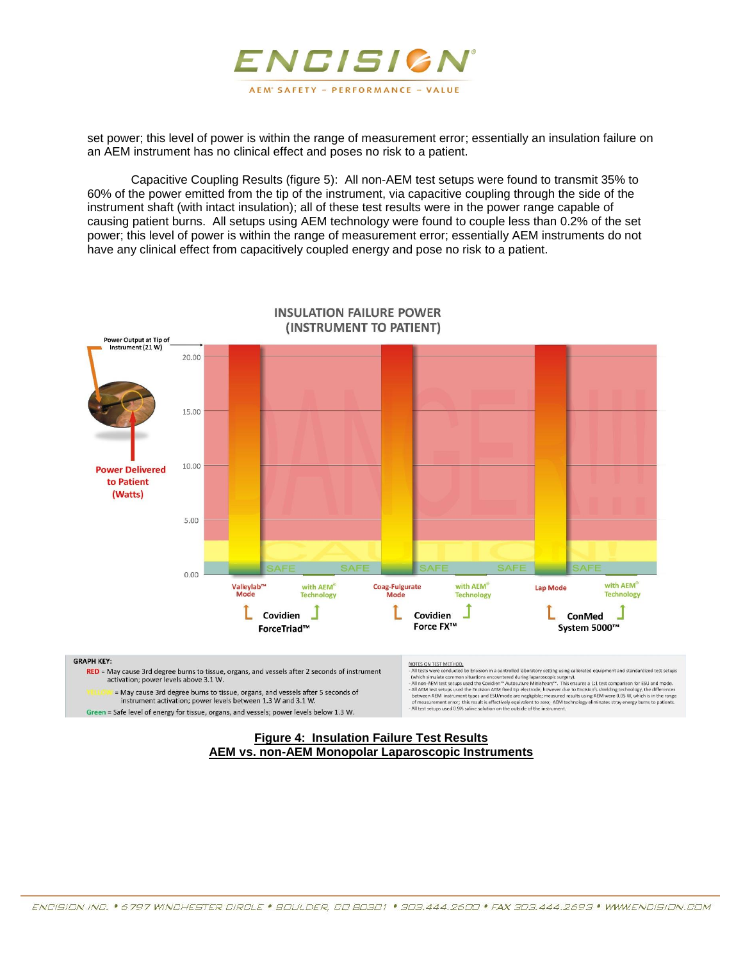

set power; this level of power is within the range of measurement error; essentially an insulation failure on an AEM instrument has no clinical effect and poses no risk to a patient.

Capacitive Coupling Results (figure 5): All non-AEM test setups were found to transmit 35% to 60% of the power emitted from the tip of the instrument, via capacitive coupling through the side of the instrument shaft (with intact insulation); all of these test results were in the power range capable of causing patient burns. All setups using AEM technology were found to couple less than 0.2% of the set power; this level of power is within the range of measurement error; essentially AEM instruments do not have any clinical effect from capacitively coupled energy and pose no risk to a patient.



**INSULATION FAILURE POWER** (INSTRUMENT TO PATIENT)

#### **GRAPH KEY:**

RED = May cause 3rd degree burns to tissue, organs, and vessels after 2 seconds of instrument activation; power levels above 3.1 W. = May cause 3rd degree burns to tissue, organs, and vessels after 5 seconds of

instrument activation; power levels between 1.3 W and 3.1 W. Green = Safe level of energy for tissue, organs, and vessels; power levels below 1.3 W. NOTES ON TEST METHOD: NOTES ON TEST METHOLD:<br>
A charge service of the producted by Encision in a controlled laboratory setting using calibrated equipment and standardized test setups<br>
(which simulate common situations encountered during laparos

#### **Figure 4: Insulation Failure Test Results AEM vs. non-AEM Monopolar Laparoscopic Instruments**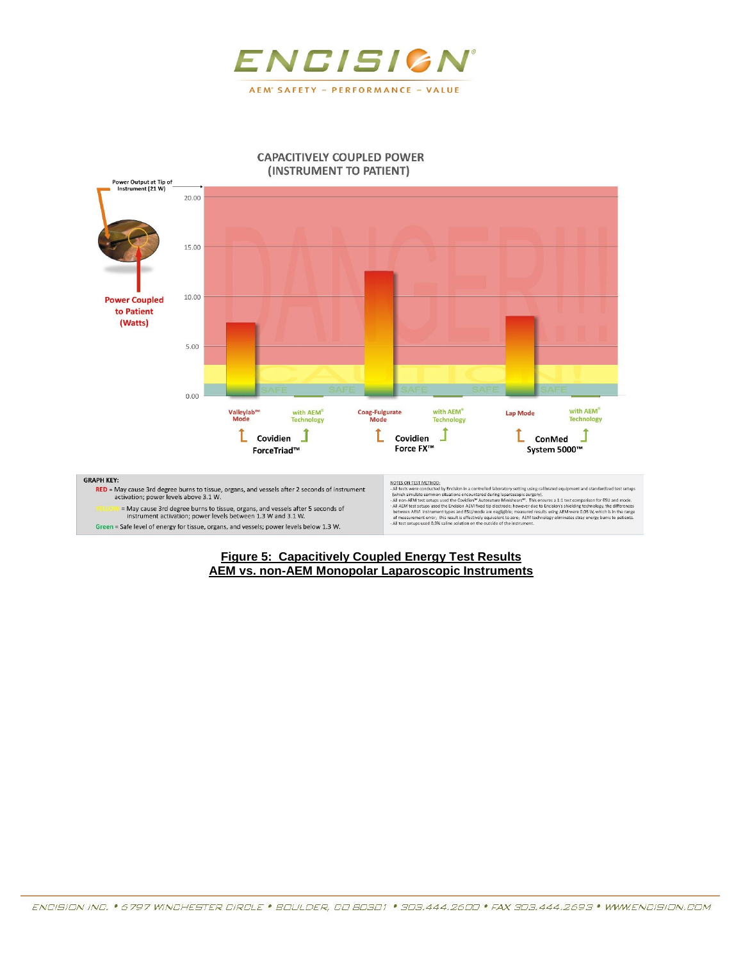

#### **CAPACITIVELY COUPLED POWER** (INSTRUMENT TO PATIENT)



#### **Figure 5: Capacitively Coupled Energy Test Results AEM vs. non-AEM Monopolar Laparoscopic Instruments**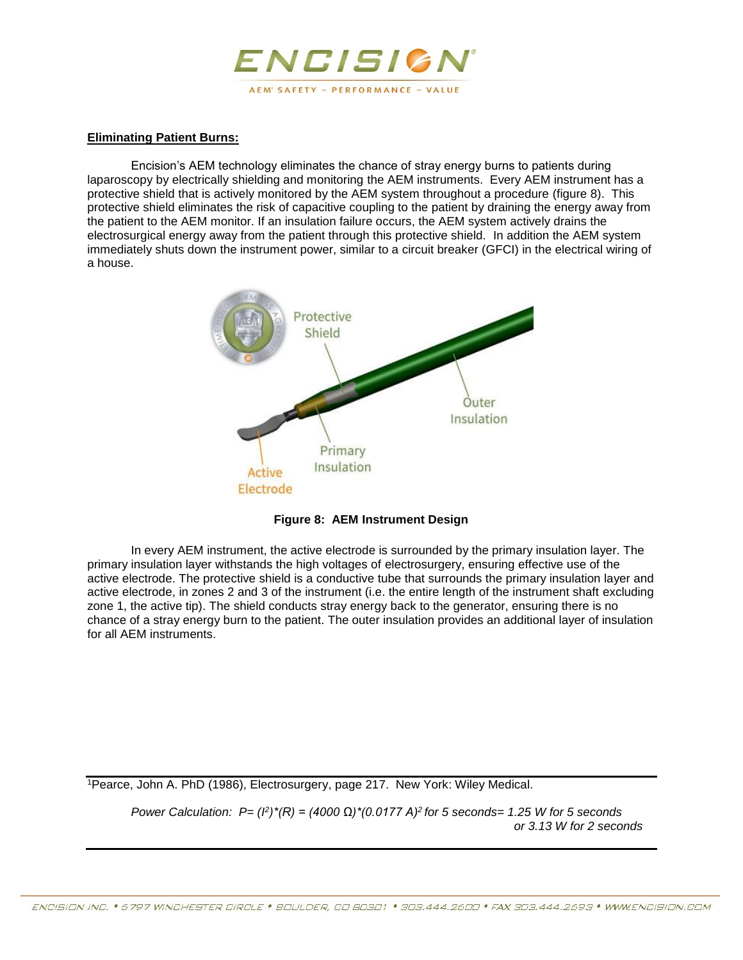

## **Eliminating Patient Burns:**

Encision's AEM technology eliminates the chance of stray energy burns to patients during laparoscopy by electrically shielding and monitoring the AEM instruments. Every AEM instrument has a protective shield that is actively monitored by the AEM system throughout a procedure (figure 8). This protective shield eliminates the risk of capacitive coupling to the patient by draining the energy away from the patient to the AEM monitor. If an insulation failure occurs, the AEM system actively drains the electrosurgical energy away from the patient through this protective shield. In addition the AEM system immediately shuts down the instrument power, similar to a circuit breaker (GFCI) in the electrical wiring of a house.



**Figure 8: AEM Instrument Design**

In every AEM instrument, the active electrode is surrounded by the primary insulation layer. The primary insulation layer withstands the high voltages of electrosurgery, ensuring effective use of the active electrode. The protective shield is a conductive tube that surrounds the primary insulation layer and active electrode, in zones 2 and 3 of the instrument (i.e. the entire length of the instrument shaft excluding zone 1, the active tip). The shield conducts stray energy back to the generator, ensuring there is no chance of a stray energy burn to the patient. The outer insulation provides an additional layer of insulation for all AEM instruments.

<sup>1</sup>Pearce, John A. PhD (1986), Electrosurgery, page 217. New York: Wiley Medical.

*Power Calculation: P= (<sup>β</sup>)<sup>\*</sup>(R) = (4000 Ω)<sup>\*</sup>(0.0177 A)<sup>2</sup> for 5 seconds= 1.25 W for 5 seconds or 3.13 W for 2 seconds*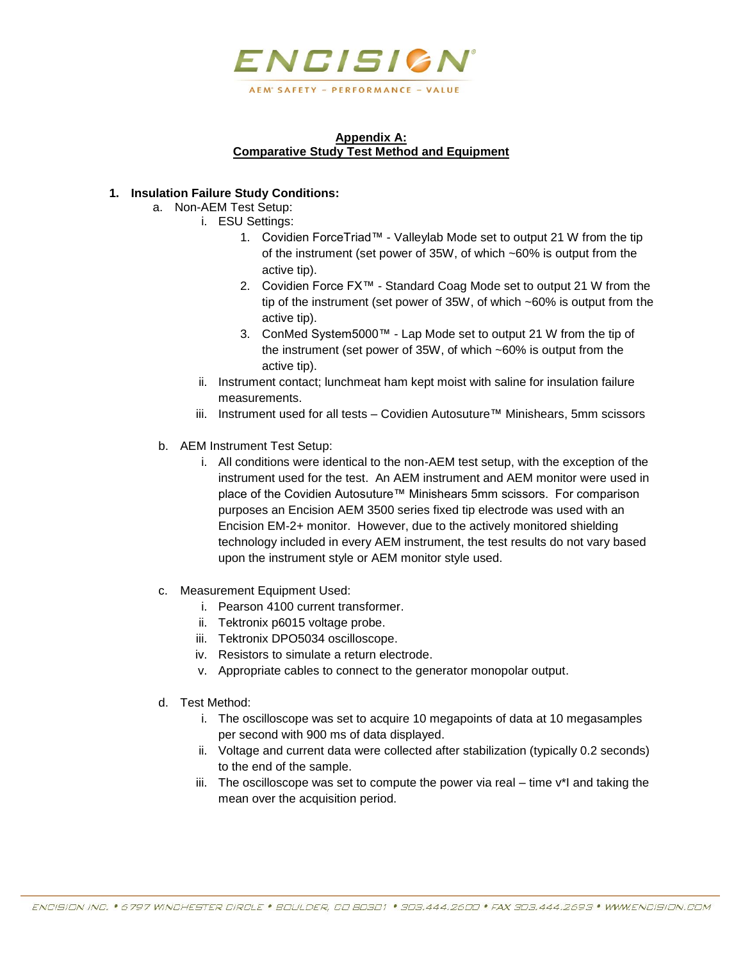

## **Appendix A: Comparative Study Test Method and Equipment**

## **1. Insulation Failure Study Conditions:**

- a. Non-AEM Test Setup:
	- i. ESU Settings:
		- 1. Covidien ForceTriad™ Valleylab Mode set to output 21 W from the tip of the instrument (set power of 35W, of which ~60% is output from the active tip).
		- 2. Covidien Force FX™ Standard Coag Mode set to output 21 W from the tip of the instrument (set power of 35W, of which ~60% is output from the active tip).
		- 3. ConMed System5000™ Lap Mode set to output 21 W from the tip of the instrument (set power of 35W, of which ~60% is output from the active tip).
		- ii. Instrument contact; lunchmeat ham kept moist with saline for insulation failure measurements.
		- iii. Instrument used for all tests Covidien Autosuture™ Minishears, 5mm scissors
- b. AEM Instrument Test Setup:
	- i. All conditions were identical to the non-AEM test setup, with the exception of the instrument used for the test. An AEM instrument and AEM monitor were used in place of the Covidien Autosuture™ Minishears 5mm scissors. For comparison purposes an Encision AEM 3500 series fixed tip electrode was used with an Encision EM-2+ monitor. However, due to the actively monitored shielding technology included in every AEM instrument, the test results do not vary based upon the instrument style or AEM monitor style used.
- c. Measurement Equipment Used:
	- i. Pearson 4100 current transformer.
	- ii. Tektronix p6015 voltage probe.
	- iii. Tektronix DPO5034 oscilloscope.
	- iv. Resistors to simulate a return electrode.
	- v. Appropriate cables to connect to the generator monopolar output.
- d. Test Method:
	- i. The oscilloscope was set to acquire 10 megapoints of data at 10 megasamples per second with 900 ms of data displayed.
	- ii. Voltage and current data were collected after stabilization (typically 0.2 seconds) to the end of the sample.
	- iii. The oscilloscope was set to compute the power via real  $-$  time  $v^*$ l and taking the mean over the acquisition period.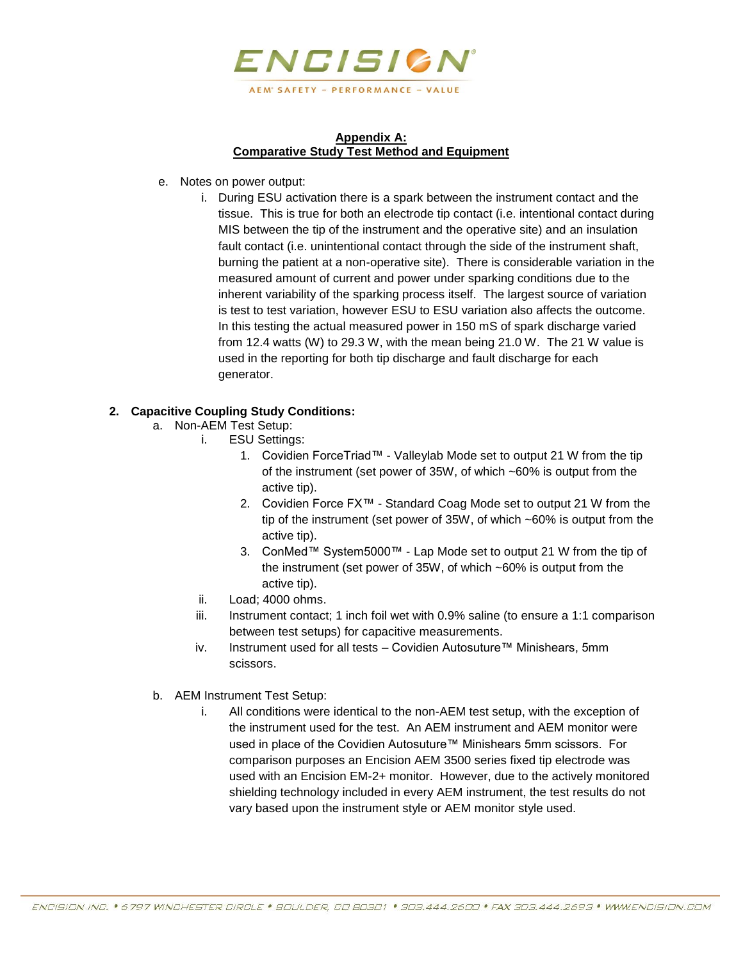

## **Appendix A: Comparative Study Test Method and Equipment**

- e. Notes on power output:
	- i. During ESU activation there is a spark between the instrument contact and the tissue. This is true for both an electrode tip contact (i.e. intentional contact during MIS between the tip of the instrument and the operative site) and an insulation fault contact (i.e. unintentional contact through the side of the instrument shaft, burning the patient at a non-operative site). There is considerable variation in the measured amount of current and power under sparking conditions due to the inherent variability of the sparking process itself. The largest source of variation is test to test variation, however ESU to ESU variation also affects the outcome. In this testing the actual measured power in 150 mS of spark discharge varied from 12.4 watts (W) to 29.3 W, with the mean being 21.0 W. The 21 W value is used in the reporting for both tip discharge and fault discharge for each generator.

# **2. Capacitive Coupling Study Conditions:**

- a. Non-AEM Test Setup:
	- i. ESU Settings:
		- 1. Covidien ForceTriad™ Valleylab Mode set to output 21 W from the tip of the instrument (set power of 35W, of which ~60% is output from the active tip).
		- 2. Covidien Force FX™ Standard Coag Mode set to output 21 W from the tip of the instrument (set power of 35W, of which ~60% is output from the active tip).
		- 3. ConMed™ System5000™ Lap Mode set to output 21 W from the tip of the instrument (set power of 35W, of which ~60% is output from the active tip).
	- ii. Load; 4000 ohms.
	- iii. Instrument contact; 1 inch foil wet with 0.9% saline (to ensure a 1:1 comparison between test setups) for capacitive measurements.
	- iv. Instrument used for all tests Covidien Autosuture™ Minishears, 5mm scissors.
- b. AEM Instrument Test Setup:
	- i. All conditions were identical to the non-AEM test setup, with the exception of the instrument used for the test. An AEM instrument and AEM monitor were used in place of the Covidien Autosuture™ Minishears 5mm scissors. For comparison purposes an Encision AEM 3500 series fixed tip electrode was used with an Encision EM-2+ monitor. However, due to the actively monitored shielding technology included in every AEM instrument, the test results do not vary based upon the instrument style or AEM monitor style used.